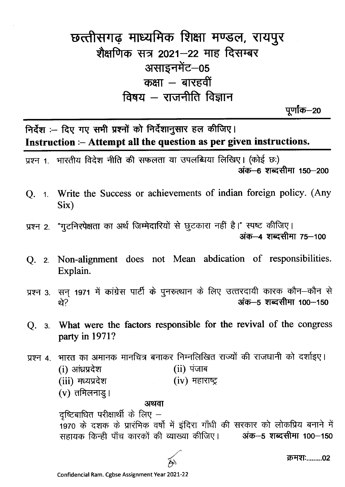## छत्तीसगढ़ माध्यमिक शिक्षा मण्डल, रायपुर शैक्षणिक सत्र 2021–22 माह दिसम्बर असाइनमेंट-05 कक्षा – बारहवीं विषय  $-$  राजनीति विज्ञान

पूर्णांक—20

निर्देश :- दिए गए सभी प्रश्नों को निर्देशानुसार हल कीजिए। Instruction :- Attempt all the question as per given instructions.

प्रश्न 1. भारतीय विदेश नीति की सफलता या उपलब्धिया लिखिए। (कोई छ:) अंक—6 शब्दसीमा 150—200

- Q. 1. Write the Success or achievements of indian foreign policy. (Any Six)
- प्रश्न 2. "गुटनिरपेक्षता का अर्थ जिम्मेदारियों से छूटकारा नहीं है।" स्पष्ट कीजिए। अंक-4 शब्दसीमा 75-100
- O. 2. Non-alignment does not Mean abdication of responsibilities. Explain.
- प्रश्न 3. सन् 1971 में कांग्रेस पार्टी के पुनरुत्थान के लिए उत्तरदायी कारक कौन-कौन से अंक-5 शब्दसीमा 100-150 थे?
- Q. 3. What were the factors responsible for the revival of the congress party in 1971?

भारत का अमानक मानचित्र बनाकर निम्नलिखित राज्यों की राजधानी को दर्शाइए। प्रश्न 4. (i) आंध्रप्रदेश  $(ii)$  पंजाब (iii) मध्यप्रदेश  $(iv)$  महाराष्ट्र

 $(v)$  तमिलनाडु।

## अथवा

दृष्टिबाधित परीक्षार्थी के लिए  $-$ 1970 के दशक के प्रारंभिक वर्षों में इंदिरा गाँधी की सरकार को लोकप्रिय बनाने में सहायक किन्ही पाँच कारकों की व्याख्या कीजिए। यंक-5 शब्दसीमा 100-150

क्रमश:........02